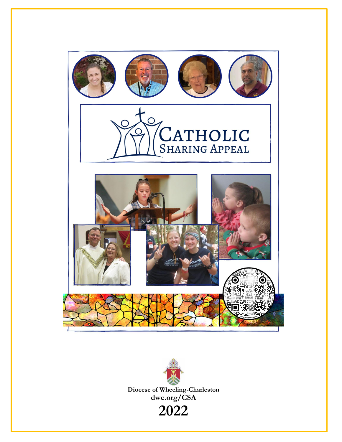



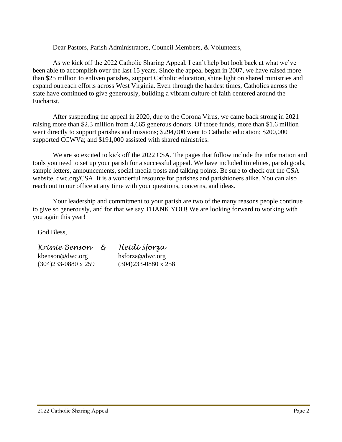Dear Pastors, Parish Administrators, Council Members, & Volunteers,

As we kick off the 2022 Catholic Sharing Appeal, I can't help but look back at what we've been able to accomplish over the last 15 years. Since the appeal began in 2007, we have raised more than \$25 million to enliven parishes, support Catholic education, shine light on shared ministries and expand outreach efforts across West Virginia. Even through the hardest times, Catholics across the state have continued to give generously, building a vibrant culture of faith centered around the Eucharist.

After suspending the appeal in 2020, due to the Corona Virus, we came back strong in 2021 raising more than \$2.3 million from 4,665 generous donors. Of those funds, more than \$1.6 million went directly to support parishes and missions; \$294,000 went to Catholic education; \$200,000 supported CCWVa; and \$191,000 assisted with shared ministries.

We are so excited to kick off the 2022 CSA. The pages that follow include the information and tools you need to set up your parish for a successful appeal. We have included timelines, parish goals, sample letters, announcements, social media posts and talking points. Be sure to check out the CSA website, dwc.org/CSA. It is a wonderful resource for parishes and parishioners alike. You can also reach out to our office at any time with your questions, concerns, and ideas.

Your leadership and commitment to your parish are two of the many reasons people continue to give so generously, and for that we say THANK YOU! We are looking forward to working with you again this year!

God Bless,

| Kríssíe Benson             | দৈ | Heídí Sforza               |
|----------------------------|----|----------------------------|
| kbenson@dwc.org            |    | hsforza@dwc.org            |
| $(304)233-0880 \times 259$ |    | $(304)233-0880 \times 258$ |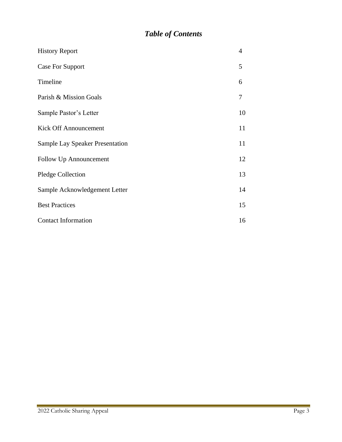# *Table of Contents*

| <b>History Report</b>                  | 4  |
|----------------------------------------|----|
| Case For Support                       | 5  |
| Timeline                               | 6  |
| Parish & Mission Goals                 | 7  |
| Sample Pastor's Letter                 | 10 |
| <b>Kick Off Announcement</b>           | 11 |
| <b>Sample Lay Speaker Presentation</b> | 11 |
| Follow Up Announcement                 | 12 |
| <b>Pledge Collection</b>               | 13 |
| Sample Acknowledgement Letter          | 14 |
| <b>Best Practices</b>                  | 15 |
| <b>Contact Information</b>             | 16 |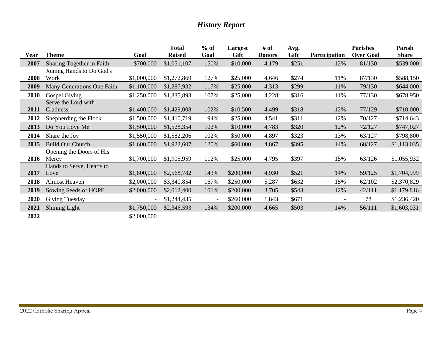# *History Report*

|      |                            |                | <b>Total</b>  | $%$ of | Largest     | # of          | Avg.        |                          | <b>Parishes</b>  | Parish       |
|------|----------------------------|----------------|---------------|--------|-------------|---------------|-------------|--------------------------|------------------|--------------|
| Year | <b>Theme</b>               | Goal           | <b>Raised</b> | Goal   | <b>Gift</b> | <b>Donors</b> | <b>Gift</b> | Participation            | <b>Over Goal</b> | <b>Share</b> |
| 2007 | Sharing Together in Faith  | \$700,000      | \$1,051,107   | 150%   | \$10,000    | 4,179         | \$251       | 12%                      | 81/130           | \$539,000    |
|      | Joining Hands to Do God's  |                |               |        |             |               |             |                          |                  |              |
| 2008 | Work                       | \$1,000,000    | \$1,272,869   | 127%   | \$25,000    | 4,646         | \$274       | 11%                      | 87/130           | \$588,150    |
| 2009 | Many Generations One Faith | \$1,100,000    | \$1,287,932   | 117%   | \$25,000    | 4,313         | \$299       | 11%                      | 79/130           | \$644,000    |
| 2010 | Gospel Giving              | \$1,250,000    | \$1,335,893   | 107%   | \$25,000    | 4,228         | \$316       | 11%                      | 77/130           | \$678,950    |
|      | Serve the Lord with        |                |               |        |             |               |             |                          |                  |              |
| 2011 | Gladness                   | \$1,400,000    | \$1,429,008   | 102%   | \$10,500    | 4,499         | \$318       | 12%                      | 77/129           | \$710,000    |
| 2012 | Shepherding the Flock      | \$1,500,000    | \$1,410,719   | 94%    | \$25,000    | 4,541         | \$311       | 12%                      | 70/127           | \$714,643    |
| 2013 | Do You Love Me             | \$1,500,000    | \$1,528,354   | 102%   | \$10,000    | 4,783         | \$320       | 12%                      | 72/127           | \$747,027    |
| 2014 | Share the Joy              | \$1,550,000    | \$1,582,206   | 102%   | \$50,000    | 4,897         | \$323       | 13%                      | 63/127           | \$798,800    |
| 2015 | <b>Build Our Church</b>    | \$1,600,000    | \$1,922,607   | 120%   | \$60,000    | 4,867         | \$395       | 14%                      | 68/127           | \$1,113,035  |
|      | Opening the Doors of His   |                |               |        |             |               |             |                          |                  |              |
| 2016 | Mercy                      | \$1,700,000    | \$1,905,959   | 112%   | \$25,000    | 4,795         | \$397       | 15%                      | 63/126           | \$1,055,932  |
|      | Hands to Serve, Hearts to  |                |               |        |             |               |             |                          |                  |              |
| 2017 | Love                       | \$1,800,000    | \$2,568,782   | 143%   | \$200,000   | 4,930         | \$521       | 14%                      | 59/125           | \$1,704,999  |
| 2018 | <b>Almost Heaven</b>       | \$2,000,000    | \$3,340,854   | 167%   | \$250,000   | 5,287         | \$632       | 15%                      | 62/102           | \$2,370,829  |
| 2019 | Sowing Seeds of HOPE       | \$2,000,000    | \$2,012,400   | 101%   | \$200,000   | 3,705         | \$543       | 12%                      | 42/111           | \$1,179,816  |
| 2020 | Giving Tuesday             | $\blacksquare$ | \$1,244,435   |        | \$260,000   | 1,843         | \$671       | $\overline{\phantom{a}}$ | 78               | \$1,236,420  |
| 2021 | <b>Shining Light</b>       | \$1,750,000    | \$2,346,593   | 134%   | \$200,000   | 4,665         | \$503       | 14%                      | 56/111           | \$1,603,031  |
| 2022 |                            | \$2,000,000    |               |        |             |               |             |                          |                  |              |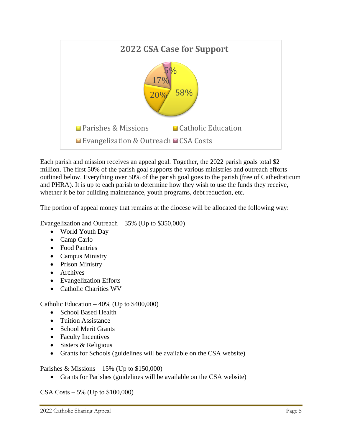

Each parish and mission receives an appeal goal. Together, the 2022 parish goals total \$2 million. The first 50% of the parish goal supports the various ministries and outreach efforts outlined below. Everything over 50% of the parish goal goes to the parish (free of Cathedraticum and PHRA). It is up to each parish to determine how they wish to use the funds they receive, whether it be for building maintenance, youth programs, debt reduction, etc.

The portion of appeal money that remains at the diocese will be allocated the following way:

Evangelization and Outreach – 35% (Up to \$350,000)

- World Youth Day
- Camp Carlo
- Food Pantries
- Campus Ministry
- Prison Ministry
- Archives
- Evangelization Efforts
- Catholic Charities WV

Catholic Education – 40% (Up to \$400,000)

- School Based Health
- Tuition Assistance
- School Merit Grants
- Faculty Incentives
- Sisters & Religious
- Grants for Schools (guidelines will be available on the CSA website)

Parishes & Missions  $-15\%$  (Up to \$150,000)

• Grants for Parishes (guidelines will be available on the CSA website)

CSA Costs – 5% (Up to \$100,000)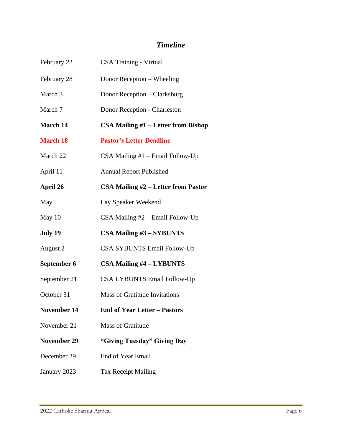# *Timeline*

| February 22        | CSA Training - Virtual               |  |  |
|--------------------|--------------------------------------|--|--|
| February 28        | Donor Reception – Wheeling           |  |  |
| March 3            | Donor Reception - Clarksburg         |  |  |
| March 7            | Donor Reception - Charleston         |  |  |
| March 14           | CSA Mailing #1 – Letter from Bishop  |  |  |
| <b>March 18</b>    | <b>Pastor's Letter Deadline</b>      |  |  |
| March 22           | $CSA$ Mailing #1 – Email Follow-Up   |  |  |
| April 11           | <b>Annual Report Published</b>       |  |  |
| April 26           | CSA Mailing #2 – Letter from Pastor  |  |  |
| May                | Lay Speaker Weekend                  |  |  |
| May 10             | $CSA$ Mailing $#2$ – Email Follow-Up |  |  |
| July 19            | <b>CSA Mailing #3 - SYBUNTS</b>      |  |  |
| August 2           | <b>CSA SYBUNTS Email Follow-Up</b>   |  |  |
| September 6        | <b>CSA Mailing #4 - LYBUNTS</b>      |  |  |
| September 21       | <b>CSA LYBUNTS Email Follow-Up</b>   |  |  |
| October 31         | <b>Mass of Gratitude Invitations</b> |  |  |
| <b>November 14</b> | <b>End of Year Letter - Pastors</b>  |  |  |
| November 21        | <b>Mass of Gratitude</b>             |  |  |
| <b>November 29</b> | "Giving Tuesday" Giving Day          |  |  |
| December 29        | End of Year Email                    |  |  |
| January 2023       | <b>Tax Receipt Mailing</b>           |  |  |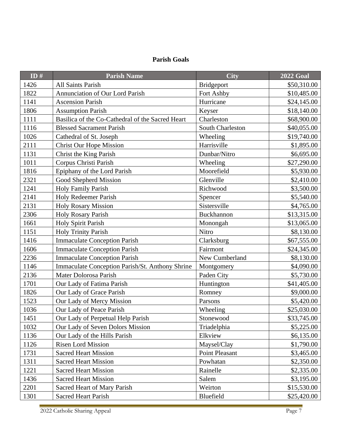## **Parish Goals**

| ID $#$ | <b>Parish Name</b>                               | <b>City</b>       | <b>2022 Goal</b> |
|--------|--------------------------------------------------|-------------------|------------------|
| 1426   | All Saints Parish                                | <b>Bridgeport</b> | \$50,310.00      |
| 1822   | Annunciation of Our Lord Parish                  | Fort Ashby        | \$10,485.00      |
| 1141   | <b>Ascension Parish</b>                          | Hurricane         | \$24,145.00      |
| 1806   | <b>Assumption Parish</b>                         | Keyser            | \$18,140.00      |
| 1111   | Basilica of the Co-Cathedral of the Sacred Heart | Charleston        | \$68,900.00      |
| 1116   | <b>Blessed Sacrament Parish</b>                  | South Charleston  | \$40,055.00      |
| 1026   | Cathedral of St. Joseph                          | Wheeling          | \$19,740.00      |
| 2111   | <b>Christ Our Hope Mission</b>                   | Harrisville       | \$1,895.00       |
| 1131   | Christ the King Parish                           | Dunbar/Nitro      | \$6,695.00       |
| 1011   | Corpus Christi Parish                            | Wheeling          | \$27,290.00      |
| 1816   | Epiphany of the Lord Parish                      | Moorefield        | \$5,930.00       |
| 2321   | Good Shepherd Mission                            | Glenville         | \$2,410.00       |
| 1241   | Holy Family Parish                               | Richwood          | \$3,500.00       |
| 2141   | Holy Redeemer Parish                             | Spencer           | \$5,540.00       |
| 2131   | <b>Holy Rosary Mission</b>                       | Sistersville      | \$4,765.00       |
| 2306   | <b>Holy Rosary Parish</b>                        | Buckhannon        | \$13,315.00      |
| 1661   | Holy Spirit Parish                               | Monongah          | \$13,065.00      |
| 1151   | <b>Holy Trinity Parish</b>                       | <b>Nitro</b>      | \$8,130.00       |
| 1416   | <b>Immaculate Conception Parish</b>              | Clarksburg        | \$67,555.00      |
| 1606   | <b>Immaculate Conception Parish</b>              | Fairmont          | \$24,345.00      |
| 2236   | <b>Immaculate Conception Parish</b>              | New Cumberland    | \$8,130.00       |
| 1146   | Immaculate Conception Parish/St. Anthony Shrine  | Montgomery        | \$4,090.00       |
| 2136   | Mater Dolorosa Parish                            | Paden City        | \$5,730.00       |
| 1701   | Our Lady of Fatima Parish                        | Huntington        | \$41,405.00      |
| 1826   | Our Lady of Grace Parish                         | Romney            | \$9,000.00       |
| 1523   | Our Lady of Mercy Mission                        | Parsons           | \$5,420.00       |
| 1036   | Our Lady of Peace Parish                         | Wheeling          | \$25,030.00      |
| 1451   | Our Lady of Perpetual Help Parish                | Stonewood         | \$33,745.00      |
| 1032   | Our Lady of Seven Dolors Mission                 | Triadelphia       | \$5,225.00       |
| 1136   | Our Lady of the Hills Parish                     | Elkview           | \$6,135.00       |
| 1126   | <b>Risen Lord Mission</b>                        | Maysel/Clay       | \$1,790.00       |
| 1731   | <b>Sacred Heart Mission</b>                      | Point Pleasant    | \$3,465.00       |
| 1311   | <b>Sacred Heart Mission</b>                      | Powhatan          | \$2,350.00       |
| 1221   | <b>Sacred Heart Mission</b>                      | Rainelle          | \$2,335.00       |
| 1436   | <b>Sacred Heart Mission</b>                      | Salem             | \$3,195.00       |
| 2201   | Sacred Heart of Mary Parish                      | Weirton           | \$15,530.00      |
| 1301   | <b>Sacred Heart Parish</b>                       | Bluefield         | \$25,420.00      |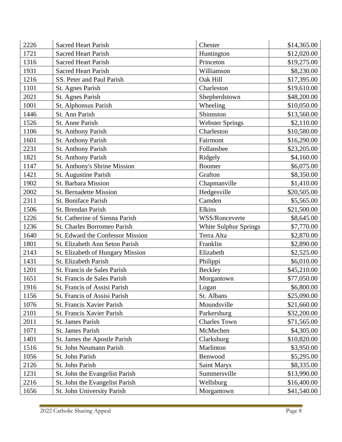| 2226 | <b>Sacred Heart Parish</b>       | Chester                | \$14,365.00 |
|------|----------------------------------|------------------------|-------------|
| 1721 | <b>Sacred Heart Parish</b>       | Huntington             | \$12,020.00 |
| 1316 | <b>Sacred Heart Parish</b>       | Princeton              | \$19,275.00 |
| 1931 | <b>Sacred Heart Parish</b>       | Williamson             | \$8,230.00  |
| 1216 | SS. Peter and Paul Parish        | Oak Hill               | \$17,395.00 |
| 1101 | St. Agnes Parish                 | Charleston             | \$19,610.00 |
| 2021 | St. Agnes Parish                 | Shepherdstown          | \$48,200.00 |
| 1001 | St. Alphonsus Parish             | Wheeling               | \$10,050.00 |
| 1446 | St. Ann Parish                   | Shinnston              | \$13,560.00 |
| 1526 | St. Anne Parish                  | <b>Webster Springs</b> | \$2,110.00  |
| 1106 | <b>St. Anthony Parish</b>        | Charleston             | \$10,580.00 |
| 1601 | St. Anthony Parish               | Fairmont               | \$16,290.00 |
| 2231 | St. Anthony Parish               | Follansbee             | \$23,205.00 |
| 1821 | St. Anthony Parish               | Ridgely                | \$4,160.00  |
| 1147 | St. Anthony's Shrine Mission     | <b>Boomer</b>          | \$6,075.00  |
| 1421 | St. Augustine Parish             | Grafton                | \$8,350.00  |
| 1902 | St. Barbara Mission              | Chapmanville           | \$1,410.00  |
| 2002 | <b>St. Bernadette Mission</b>    | Hedgesville            | \$20,505.00 |
| 2311 | St. Boniface Parish              | Camden                 | \$5,565.00  |
| 1506 | St. Brendan Parish               | Elkins                 | \$21,500.00 |
| 1226 | St. Catherine of Sienna Parish   | WSS/Ronceverte         | \$8,645.00  |
| 1236 | St. Charles Borromeo Parish      | White Sulphur Springs  | \$7,770.00  |
| 1640 | St. Edward the Confessor Mission | Terra Alta             | \$2,870.00  |
| 1801 | St. Elizabeth Ann Seton Parish   | Franklin               | \$2,890.00  |
| 2143 | St. Elizabeth of Hungary Mission | Elizabeth              | \$2,525.00  |
| 1431 | St. Elizabeth Parish             | Philippi               | \$6,010.00  |
| 1201 | St. Francis de Sales Parish      | Beckley                | \$45,210.00 |
| 1651 | St. Francis de Sales Parish      | Morgantown             | \$77,050.00 |
| 1916 | St. Francis of Assisi Parish     | Logan                  | \$6,800.00  |
| 1156 | St. Francis of Assisi Parish     | St. Albans             | \$25,090.00 |
| 1076 | St. Francis Xavier Parish        | Moundsville            | \$21,660.00 |
| 2101 | St. Francis Xavier Parish        | Parkersburg            | \$32,200.00 |
| 2011 | St. James Parish                 | <b>Charles Town</b>    | \$71,565.00 |
| 1071 | St. James Parish                 | McMechen               | \$4,305.00  |
| 1401 | St. James the Apostle Parish     | Clarksburg             | \$10,820.00 |
| 1516 | St. John Neumann Parish          | Marlinton              | \$3,950.00  |
| 1056 | St. John Parish                  | Benwood                | \$5,295.00  |
| 2126 | St. John Parish                  | <b>Saint Marys</b>     | \$8,335.00  |
| 1231 | St. John the Evangelist Parish   | Summersville           | \$13,990.00 |
| 2216 | St. John the Evangelist Parish   | Wellsburg              | \$16,400.00 |
| 1656 | St. John University Parish       | Morgantown             | \$41,540.00 |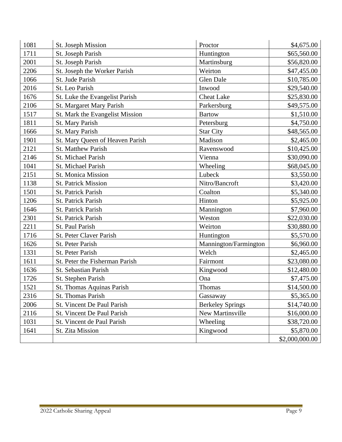| 1081 | St. Joseph Mission              | Proctor                 | \$4,675.00     |
|------|---------------------------------|-------------------------|----------------|
| 1711 | St. Joseph Parish               | Huntington              | \$65,560.00    |
| 2001 | St. Joseph Parish               | Martinsburg             | \$56,820.00    |
| 2206 | St. Joseph the Worker Parish    | Weirton                 | \$47,455.00    |
| 1066 | St. Jude Parish                 | <b>Glen Dale</b>        | \$10,785.00    |
| 2016 | St. Leo Parish                  | Inwood                  | \$29,540.00    |
| 1676 | St. Luke the Evangelist Parish  | <b>Cheat Lake</b>       | \$25,830.00    |
| 2106 | St. Margaret Mary Parish        | Parkersburg             | \$49,575.00    |
| 1517 | St. Mark the Evangelist Mission | <b>Bartow</b>           | \$1,510.00     |
| 1811 | St. Mary Parish                 | Petersburg              | \$4,750.00     |
| 1666 | St. Mary Parish                 | <b>Star City</b>        | \$48,565.00    |
| 1901 | St. Mary Queen of Heaven Parish | Madison                 | \$2,465.00     |
| 2121 | <b>St. Matthew Parish</b>       | Ravenswood              | \$10,425.00    |
| 2146 | St. Michael Parish              | Vienna                  | \$30,090.00    |
| 1041 | St. Michael Parish              | Wheeling                | \$68,045.00    |
| 2151 | <b>St. Monica Mission</b>       | Lubeck                  | \$3,550.00     |
| 1138 | <b>St. Patrick Mission</b>      | Nitro/Bancroft          | \$3,420.00     |
| 1501 | St. Patrick Parish              | Coalton                 | \$5,340.00     |
| 1206 | <b>St. Patrick Parish</b>       | Hinton                  | \$5,925.00     |
| 1646 | St. Patrick Parish              | Mannington              | \$7,960.00     |
| 2301 | St. Patrick Parish              | Weston                  | \$22,030.00    |
| 2211 | St. Paul Parish                 | Weirton                 | \$30,880.00    |
| 1716 | St. Peter Claver Parish         | Huntington              | \$5,570.00     |
| 1626 | St. Peter Parish                | Mannington/Farmington   | \$6,960.00     |
| 1331 | St. Peter Parish                | Welch                   | \$2,465.00     |
| 1611 | St. Peter the Fisherman Parish  | Fairmont                | \$23,080.00    |
| 1636 | St. Sebastian Parish            | Kingwood                | \$12,480.00    |
| 1726 | St. Stephen Parish              | Ona                     | \$7,475.00     |
| 1521 | St. Thomas Aquinas Parish       | Thomas                  | \$14,500.00    |
| 2316 | St. Thomas Parish               | Gassaway                | \$5,365.00     |
| 2006 | St. Vincent De Paul Parish      | <b>Berkeley Springs</b> | \$14,740.00    |
| 2116 | St. Vincent De Paul Parish      | New Martinsville        | \$16,000.00    |
| 1031 | St. Vincent de Paul Parish      | Wheeling                | \$38,720.00    |
| 1641 | St. Zita Mission                | Kingwood                | \$5,870.00     |
|      |                                 |                         | \$2,000,000.00 |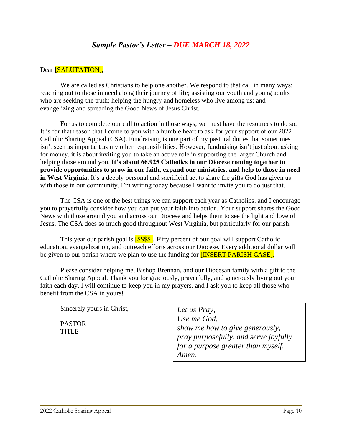## *Sample Pastor's Letter – DUE MARCH 18, 2022*

### Dear [SALUTATION],

We are called as Christians to help one another. We respond to that call in many ways: reaching out to those in need along their journey of life; assisting our youth and young adults who are seeking the truth; helping the hungry and homeless who live among us; and evangelizing and spreading the Good News of Jesus Christ.

For us to complete our call to action in those ways, we must have the resources to do so. It is for that reason that I come to you with a humble heart to ask for your support of our 2022 Catholic Sharing Appeal (CSA). Fundraising is one part of my pastoral duties that sometimes isn't seen as important as my other responsibilities. However, fundraising isn't just about asking for money. it is about inviting you to take an active role in supporting the larger Church and helping those around you. **It's about 66,925 Catholics in our Diocese coming together to provide opportunities to grow in our faith, expand our ministries, and help to those in need in West Virginia.** It's a deeply personal and sacrificial act to share the gifts God has given us with those in our community. I'm writing today because I want to invite you to do just that.

The CSA is one of the best things we can support each year as Catholics. and I encourage you to prayerfully consider how you can put your faith into action. Your support shares the Good News with those around you and across our Diocese and helps them to see the light and love of Jesus. The CSA does so much good throughout West Virginia, but particularly for our parish.

This year our parish goal is **[\$\$\$\$]**. Fifty percent of our goal will support Catholic education, evangelization, and outreach efforts across our Diocese. Every additional dollar will be given to our parish where we plan to use the funding for **[INSERT PARISH CASE]**.

Please consider helping me, Bishop Brennan, and our Diocesan family with a gift to the Catholic Sharing Appeal. Thank you for graciously, prayerfully, and generously living out your faith each day. I will continue to keep you in my prayers, and I ask you to keep all those who benefit from the CSA in yours!

Sincerely yours in Christ,

PASTOR **TITLE** 

*Let us Pray, Use me God, show me how to give generously, pray purposefully, and serve joyfully for a purpose greater than myself. Amen.*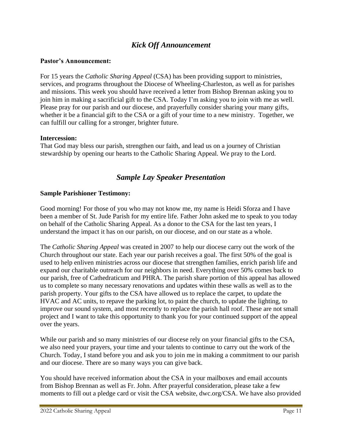# *Kick Off Announcement*

#### **Pastor's Announcement:**

For 15 years the *Catholic Sharing Appeal* (CSA) has been providing support to ministries, services, and programs throughout the Diocese of Wheeling-Charleston, as well as for parishes and missions. This week you should have received a letter from Bishop Brennan asking you to join him in making a sacrificial gift to the CSA. Today I'm asking you to join with me as well. Please pray for our parish and our diocese, and prayerfully consider sharing your many gifts, whether it be a financial gift to the CSA or a gift of your time to a new ministry. Together, we can fulfill our calling for a stronger, brighter future.

#### **Intercession:**

That God may bless our parish, strengthen our faith, and lead us on a journey of Christian stewardship by opening our hearts to the Catholic Sharing Appeal. We pray to the Lord.

## *Sample Lay Speaker Presentation*

#### **Sample Parishioner Testimony:**

Good morning! For those of you who may not know me, my name is Heidi Sforza and I have been a member of St. Jude Parish for my entire life. Father John asked me to speak to you today on behalf of the Catholic Sharing Appeal. As a donor to the CSA for the last ten years, I understand the impact it has on our parish, on our diocese, and on our state as a whole.

The *Catholic Sharing Appeal* was created in 2007 to help our diocese carry out the work of the Church throughout our state. Each year our parish receives a goal. The first 50% of the goal is used to help enliven ministries across our diocese that strengthen families, enrich parish life and expand our charitable outreach for our neighbors in need. Everything over 50% comes back to our parish, free of Cathedraticum and PHRA. The parish share portion of this appeal has allowed us to complete so many necessary renovations and updates within these walls as well as to the parish property. Your gifts to the CSA have allowed us to replace the carpet, to update the HVAC and AC units, to repave the parking lot, to paint the church, to update the lighting, to improve our sound system, and most recently to replace the parish hall roof. These are not small project and I want to take this opportunity to thank you for your continued support of the appeal over the years.

While our parish and so many ministries of our diocese rely on your financial gifts to the CSA, we also need your prayers, your time and your talents to continue to carry out the work of the Church. Today, I stand before you and ask you to join me in making a commitment to our parish and our diocese. There are so many ways you can give back.

You should have received information about the CSA in your mailboxes and email accounts from Bishop Brennan as well as Fr. John. After prayerful consideration, please take a few moments to fill out a pledge card or visit the CSA website, dwc.org/CSA. We have also provided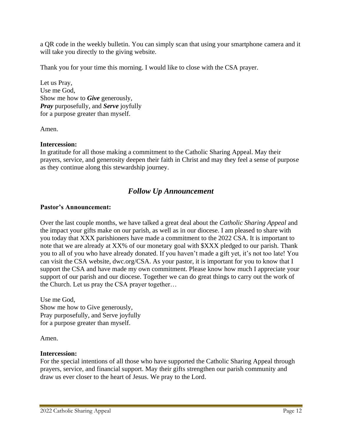a QR code in the weekly bulletin. You can simply scan that using your smartphone camera and it will take you directly to the giving website.

Thank you for your time this morning. I would like to close with the CSA prayer.

Let us Pray, Use me God, Show me how to *Give* generously, *Pray* purposefully, and *Serve* joyfully for a purpose greater than myself.

Amen.

## **Intercession:**

In gratitude for all those making a commitment to the Catholic Sharing Appeal. May their prayers, service, and generosity deepen their faith in Christ and may they feel a sense of purpose as they continue along this stewardship journey.

# *Follow Up Announcement*

## **Pastor's Announcement:**

Over the last couple months, we have talked a great deal about the *Catholic Sharing Appeal* and the impact your gifts make on our parish, as well as in our diocese. I am pleased to share with you today that XXX parishioners have made a commitment to the 2022 CSA. It is important to note that we are already at XX% of our monetary goal with \$XXX pledged to our parish. Thank you to all of you who have already donated. If you haven't made a gift yet, it's not too late! You can visit the CSA website, dwc.org/CSA. As your pastor, it is important for you to know that I support the CSA and have made my own commitment. Please know how much I appreciate your support of our parish and our diocese. Together we can do great things to carry out the work of the Church. Let us pray the CSA prayer together…

Use me God, Show me how to Give generously, Pray purposefully, and Serve joyfully for a purpose greater than myself.

Amen.

## **Intercession:**

For the special intentions of all those who have supported the Catholic Sharing Appeal through prayers, service, and financial support. May their gifts strengthen our parish community and draw us ever closer to the heart of Jesus. We pray to the Lord.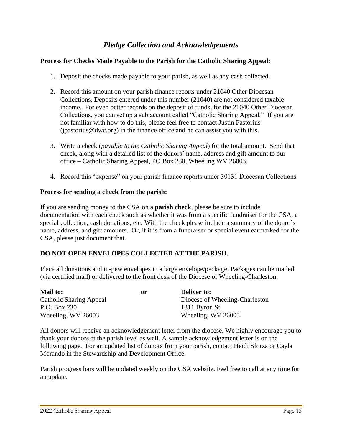# *Pledge Collection and Acknowledgements*

### **Process for Checks Made Payable to the Parish for the Catholic Sharing Appeal:**

- 1. Deposit the checks made payable to your parish, as well as any cash collected.
- 2. Record this amount on your parish finance reports under 21040 Other Diocesan Collections. Deposits entered under this number (21040) are not considered taxable income. For even better records on the deposit of funds, for the 21040 Other Diocesan Collections, you can set up a sub account called "Catholic Sharing Appeal." If you are not familiar with how to do this, please feel free to contact Justin Pastorius  $(p$ astorius@dwc.org) in the finance office and he can assist you with this.
- 3. Write a check (*payable to the Catholic Sharing Appeal*) for the total amount. Send that check, along with a detailed list of the donors' name, address and gift amount to our office – Catholic Sharing Appeal, PO Box 230, Wheeling WV 26003.
- 4. Record this "expense" on your parish finance reports under 30131 Diocesan Collections

#### **Process for sending a check from the parish:**

If you are sending money to the CSA on a **parish check**, please be sure to include documentation with each check such as whether it was from a specific fundraiser for the CSA, a special collection, cash donations, etc. With the check please include a summary of the donor's name, address, and gift amounts. Or, if it is from a fundraiser or special event earmarked for the CSA, please just document that.

### **DO NOT OPEN ENVELOPES COLLECTED AT THE PARISH.**

Place all donations and in-pew envelopes in a large envelope/package. Packages can be mailed (via certified mail) or delivered to the front desk of the Diocese of Wheeling-Charleston.

| <b>Mail to:</b>                | or | <b>Deliver to:</b>             |
|--------------------------------|----|--------------------------------|
| <b>Catholic Sharing Appeal</b> |    | Diocese of Wheeling-Charleston |
| P.O. Box 230                   |    | 1311 Byron St.                 |
| Wheeling, WV 26003             |    | Wheeling, WV 26003             |

All donors will receive an acknowledgement letter from the diocese. We highly encourage you to thank your donors at the parish level as well. A sample acknowledgement letter is on the following page. For an updated list of donors from your parish, contact Heidi Sforza or Cayla Morando in the Stewardship and Development Office.

Parish progress bars will be updated weekly on the CSA website. Feel free to call at any time for an update.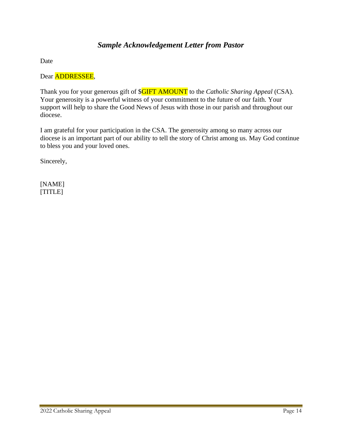# *Sample Acknowledgement Letter from Pastor*

Date

Dear ADDRESSEE,

Thank you for your generous gift of \$GIFT AMOUNT to the *Catholic Sharing Appeal* (CSA). Your generosity is a powerful witness of your commitment to the future of our faith. Your support will help to share the Good News of Jesus with those in our parish and throughout our diocese.

I am grateful for your participation in the CSA. The generosity among so many across our diocese is an important part of our ability to tell the story of Christ among us. May God continue to bless you and your loved ones.

Sincerely,

[NAME] [TITLE]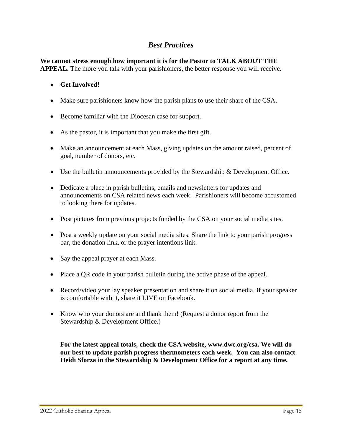# *Best Practices*

**We cannot stress enough how important it is for the Pastor to TALK ABOUT THE APPEAL.** The more you talk with your parishioners, the better response you will receive.

## • **Get Involved!**

- Make sure parishioners know how the parish plans to use their share of the CSA.
- Become familiar with the Diocesan case for support.
- As the pastor, it is important that you make the first gift.
- Make an announcement at each Mass, giving updates on the amount raised, percent of goal, number of donors, etc.
- Use the bulletin announcements provided by the Stewardship & Development Office.
- Dedicate a place in parish bulletins, emails and newsletters for updates and announcements on CSA related news each week. Parishioners will become accustomed to looking there for updates.
- Post pictures from previous projects funded by the CSA on your social media sites.
- Post a weekly update on your social media sites. Share the link to your parish progress bar, the donation link, or the prayer intentions link.
- Say the appeal prayer at each Mass.
- Place a QR code in your parish bulletin during the active phase of the appeal.
- Record/video your lay speaker presentation and share it on social media. If your speaker is comfortable with it, share it LIVE on Facebook.
- Know who your donors are and thank them! (Request a donor report from the Stewardship & Development Office.)

**For the latest appeal totals, check the CSA website, www.dwc.org/csa. We will do our best to update parish progress thermometers each week. You can also contact Heidi Sforza in the Stewardship & Development Office for a report at any time.**